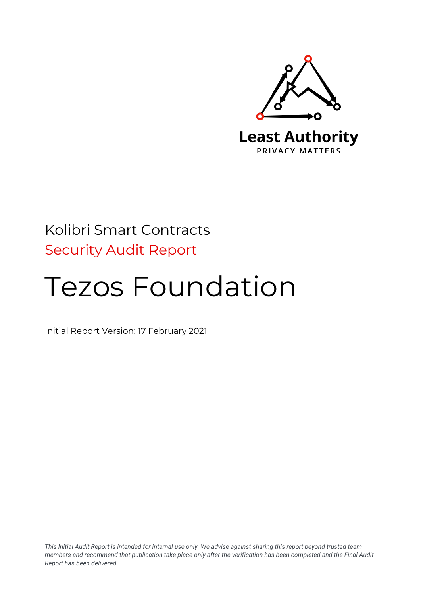

# Kolibri Smart Contracts Security Audit Report

# Tezos Foundation

Initial Report Version: 17 February 2021

*This Initial Audit Report is intended for internal use only. We advise against sharing this report beyond trusted team members and recommend that publication take place only after the verification has been completed and the Final Audit Report has been delivered.*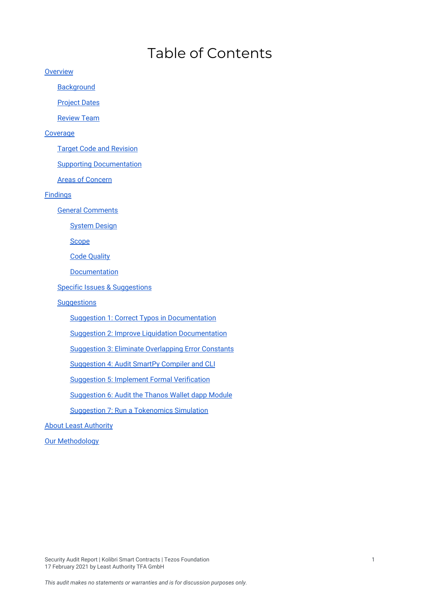# Table of Contents

**[Overview](#page-1-0)** 

**[Background](#page-2-0)** 

**[Project](#page-2-1) Dates** 

[Review](#page-2-2) Team

[Coverage](#page-2-3)

Target Code and [Revision](#page-2-4)

Supporting [Documentation](#page-3-0)

Areas of [Concern](#page-3-1)

[Findings](#page-3-2)

General [Comments](#page-3-3)

[System](#page-4-0) Design

[Scope](#page-5-0)

Code [Quality](#page-6-0)

[Documentation](#page-6-1)

**Specific Issues & [Suggestions](#page-6-2)** 

#### **[Suggestions](#page-7-0)**

Suggestion 1: Correct Typos in [Documentation](#page-7-1)

Suggestion 2: Improve Liquidation [Documentation](#page-7-2)

Suggestion 3: Eliminate [Overlapping](#page-8-0) Error Constants

[Suggestion](#page-8-1) 4: Audit SmartPy Compiler and CLI

Suggestion 5: Implement Formal [Verification](#page-9-0)

[Suggestion](#page-10-0) 6: Audit the Thanos Wallet dapp Module

Suggestion 7: Run a [Tokenomics](#page-10-1) Simulation

**About Least [Authority](#page-11-0)** 

<span id="page-1-0"></span>Our [Methodology](#page-11-1)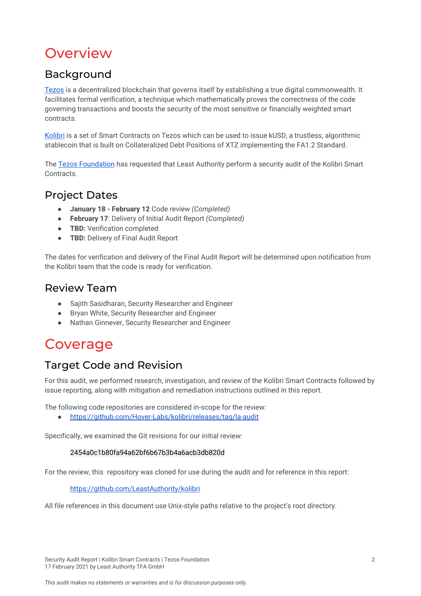# **Overview**

# <span id="page-2-0"></span>Background

[Tezos](https://tezos.com/) is a decentralized blockchain that governs itself by establishing a true digital commonwealth. It facilitates formal verification, a technique which mathematically proves the correctness of the code governing transactions and boosts the security of the most sensitive or financially weighted smart contracts.

[Kolibri](https://testnet.kolibri.finance/) is a set of Smart Contracts on Tezos which can be used to issue kUSD, a trustless, algorithmic stablecoin that is built on Collateralized Debt Positions of XTZ implementing the FA1.2 Standard.

The Tezos [Foundation](https://tezos.foundation/) has requested that Least Authority perform a security audit of the Kolibri Smart Contracts.

### <span id="page-2-1"></span>Project Dates

- **January 18 - February 12** Code review *(Completed)*
- **February 17**: Delivery of Initial Audit Report *(Completed)*
- **TBD:** Verification completed
- **TBD:** Delivery of Final Audit Report

The dates for verification and delivery of the Final Audit Report will be determined upon notification from the Kolibri team that the code is ready for verification.

# <span id="page-2-2"></span>Review Team

- Sajith Sasidharan, Security Researcher and Engineer
- Bryan White, Security Researcher and Engineer
- Nathan Ginnever, Security Researcher and Engineer

# <span id="page-2-3"></span>Coverage

# <span id="page-2-4"></span>Target Code and Revision

For this audit, we performed research, investigation, and review of the Kolibri Smart Contracts followed by issue reporting, along with mitigation and remediation instructions outlined in this report.

The following code repositories are considered in-scope for the review:

● <https://github.com/Hover-Labs/kolibri/releases/tag/la-audit>

Specifically, we examined the Git revisions for our initial review:

#### 2454a0c1b80fa94a62bf6b67b3b4a6acb3db820d

For the review, this repository was cloned for use during the audit and for reference in this report:

#### <https://github.com/LeastAuthority/kolibri>

All file references in this document use Unix-style paths relative to the project's root directory.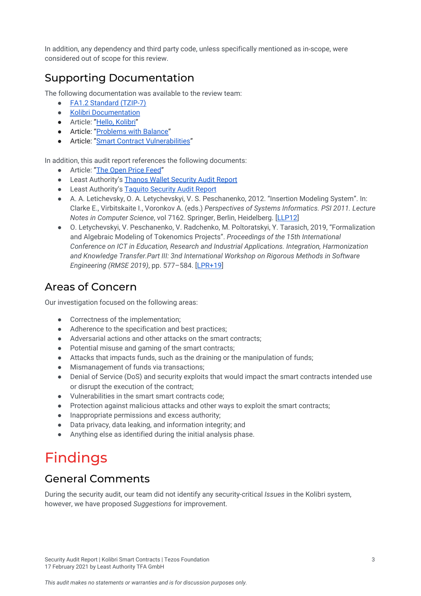In addition, any dependency and third party code, unless specifically mentioned as in-scope, were considered out of scope for this review.

# <span id="page-3-0"></span>Supporting Documentation

The following documentation was available to the review team:

- FA1.2 [Standard](https://gitlab.com/tzip/tzip/-/blob/master/proposals/tzip-7/tzip-7.md) (TZIP-7)
- Kolibri [Documentation](https://testnet.kolibri.finance/project-info/general/intro)
- Article: "Hello, [Kolibri](https://kolibri-xtz.medium.com/hello-kolibri-4c6d76046a8b)"
- Article: "[Problems](https://forum.tezosagora.org/t/problems-with-balance/2194) with Balance"
- Article: "Smart Contract [Vulnerabilities](https://forum.tezosagora.org/t/smart-contract-vulnerabilities-due-to-tezos-message-passing-architecture/2045)"

In addition, this audit report references the following documents:

- Article: "The [Open](https://medium.com/compound-finance/announcing-compound-open-oracle-development-cff36f06aad3) Price Feed"
- Least Authority's Thanos Wallet [Security](https://leastauthority.com/static/publications/LeastAuthority_Tezos_Foundation_Thanos_Wallet_Audit_Report.pdf) Audit Report
- Least Authority's Taquito [Security](https://leastauthority.com/static/publications/LeastAuthority_Tezos_Foundation_Taquito_Report.pdf) Audit Report
- A. A. Letichevsky, O. A. Letychevskyi, V. S. Peschanenko, 2012. "Insertion Modeling System". In: Clarke E., Virbitskaite I., Voronkov A. (eds.) *Perspectives of Systems Informatics. PSI 2011. Lecture Notes in Computer Science*, vol 7162. Springer, Berlin, Heidelberg. [[LLP12](https://doi.org/10.1007/978-3-642-29709-0_23)]
- O. Letychevskyi, V. Peschanenko, V. Radchenko, M. Poltoratskyi, Y. Tarasich, 2019, "Formalization and Algebraic Modeling of Tokenomics Projects". *Proceedings of the 15th International Conference on ICT in Education, Research and Industrial Applications. Integration, Harmonization and Knowledge Transfer.Part III: 3nd International Workshop on Rigorous Methods in Software Engineering (RMSE 2019)*, pp. 577–584. [\[LPR+19\]](http://ceur-ws.org/Vol-2393/paper_409.pdf)

### <span id="page-3-1"></span>Areas of Concern

Our investigation focused on the following areas:

- Correctness of the implementation;
- Adherence to the specification and best practices;
- Adversarial actions and other attacks on the smart contracts;
- Potential misuse and gaming of the smart contracts;
- Attacks that impacts funds, such as the draining or the manipulation of funds;
- Mismanagement of funds via transactions;
- Denial of Service (DoS) and security exploits that would impact the smart contracts intended use or disrupt the execution of the contract;
- Vulnerabilities in the smart smart contracts code;
- Protection against malicious attacks and other ways to exploit the smart contracts;
- Inappropriate permissions and excess authority;
- Data privacy, data leaking, and information integrity; and
- Anything else as identified during the initial analysis phase.

# <span id="page-3-2"></span>Findings

### <span id="page-3-3"></span>General Comments

During the security audit, our team did not identify any security-critical *Issues* in the Kolibri system, however, we have proposed *Suggestions* for improvement.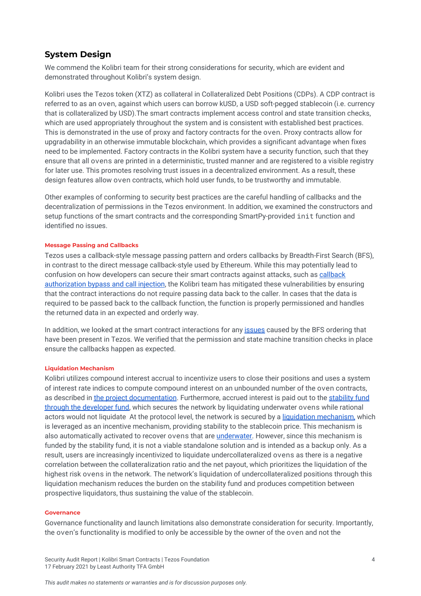#### <span id="page-4-0"></span>**System Design**

We commend the Kolibri team for their strong considerations for security, which are evident and demonstrated throughout Kolibri's system design.

Kolibri uses the Tezos token (XTZ) as collateral in Collateralized Debt Positions (CDPs). A CDP contract is referred to as an oven, against which users can borrow kUSD, a USD soft-pegged stablecoin (i.e. currency that is collateralized by USD).The smart contracts implement access control and state transition checks, which are used appropriately throughout the system and is consistent with established best practices. This is demonstrated in the use of proxy and factory contracts for the oven. Proxy contracts allow for upgradability in an otherwise immutable blockchain, which provides a significant advantage when fixes need to be implemented. Factory contracts in the Kolibri system have a security function, such that they ensure that all ovens are printed in a deterministic, trusted manner and are registered to a visible registry for later use. This promotes resolving trust issues in a decentralized environment. As a result, these design features allow oven contracts, which hold user funds, to be trustworthy and immutable.

Other examples of conforming to security best practices are the careful handling of callbacks and the decentralization of permissions in the Tezos environment. In addition, we examined the constructors and setup functions of the smart contracts and the corresponding SmartPy-provided init function and identified no issues.

#### **Message Passing and Callbacks**

Tezos uses a callback-style message passing pattern and orders callbacks by Breadth-First Search (BFS), in contrast to the direct message callback-style used by Ethereum. While this may potentially lead to confusion on how developers can secure their smart contracts against attacks, such as [callback](https://forum.tezosagora.org/t/smart-contract-vulnerabilities-due-to-tezos-message-passing-architecture/2045) [authorization](https://forum.tezosagora.org/t/smart-contract-vulnerabilities-due-to-tezos-message-passing-architecture/2045) bypass and call injection, the Kolibri team has mitigated these vulnerabilities by ensuring that the contract interactions do not require passing data back to the caller. In cases that the data is required to be passed back to the callback function, the function is properly permissioned and handles the returned data in an expected and orderly way.

In addition, we looked at the smart contract interactions for any [issues](https://forum.tezosagora.org/t/problems-with-concurrency/1771) caused by the BFS ordering that have been present in Tezos. We verified that the permission and state machine transition checks in place ensure the callbacks happen as expected.

#### **Liquidation Mechanism**

Kolibri utilizes compound interest accrual to incentivize users to close their positions and uses a system of interest rate indices to compute compound interest on an unbounded number of the oven contracts, as described in the project [documentation](https://testnet.kolibri.finance/project-info/general/intro). Furthermore, accrued interest is paid out to the [stability](https://testnet.kolibri.finance/project-info/general/funds) fund through the [developer](https://testnet.kolibri.finance/project-info/general/funds) fund, which secures the network by liquidating underwater ovens while rational actors would not liquidate At the protocol level, the network is secured by a liquidation [mechanism,](https://testnet.kolibri.finance/project-info/liquidation/overview) which is leveraged as an incentive mechanism, providing stability to the stablecoin price. This mechanism is also automatically activated to recover ovens that are *underwater*. However, since this mechanism is funded by the stability fund, it is not a viable standalone solution and is intended as a backup only. As a result, users are increasingly incentivized to liquidate undercollateralized ovens as there is a negative correlation between the collateralization ratio and the net payout, which prioritizes the liquidation of the highest risk ovens in the network. The network's liquidation of undercollateralized positions through this liquidation mechanism reduces the burden on the stability fund and produces competition between prospective liquidators, thus sustaining the value of the stablecoin.

#### **Governance**

Governance functionality and launch limitations also demonstrate consideration for security. Importantly, the oven's functionality is modified to only be accessible by the owner of the oven and not the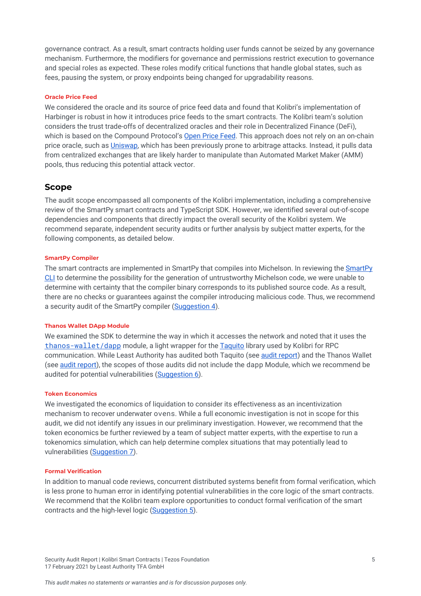governance contract. As a result, smart contracts holding user funds cannot be seized by any governance mechanism. Furthermore, the modifiers for governance and permissions restrict execution to governance and special roles as expected. These roles modify critical functions that handle global states, such as fees, pausing the system, or proxy endpoints being changed for upgradability reasons.

#### **Oracle Price Feed**

We considered the oracle and its source of price feed data and found that Kolibri's implementation of Harbinger is robust in how it introduces price feeds to the smart contracts. The Kolibri team's solution considers the trust trade-offs of decentralized oracles and their role in Decentralized Finance (DeFi), which is based on the Compound Protocol's [Open](https://medium.com/compound-finance/announcing-compound-open-oracle-development-cff36f06aad3) Price Feed. This approach does not rely on an on-chain price oracle, such as *Uniswap*, which has been previously prone to arbitrage attacks. Instead, it pulls data from centralized exchanges that are likely harder to manipulate than Automated Market Maker (AMM) pools, thus reducing this potential attack vector.

#### <span id="page-5-0"></span>**Scope**

The audit scope encompassed all components of the Kolibri implementation, including a comprehensive review of the SmartPy smart contracts and TypeScript SDK. However, we identified several out-of-scope dependencies and components that directly impact the overall security of the Kolibri system. We recommend separate, independent security audits or further analysis by subject matter experts, for the following components, as detailed below.

#### **SmartPy Compiler**

The smart contracts are implemented in SmartPy that compiles into Michelson. In reviewing the [SmartPy](https://smartpy.io/cli/) [CLI](https://smartpy.io/cli/) to determine the possibility for the generation of untrustworthy Michelson code, we were unable to determine with certainty that the compiler binary corresponds to its published source code. As a result, there are no checks or guarantees against the compiler introducing malicious code. Thus, we recommend a security audit of the SmartPy compiler ([Suggestion](#page-8-1) 4).

#### **Thanos Wallet DApp Module**

We examined the SDK to determine the way in which it accesses the network and noted that it uses the [thanos-wallet/dapp](https://github.com/madfish-solutions/thanoswallet-dapp#readme) module, a light wrapper for the [Taquito](https://tezostaquito.io/) library used by Kolibri for RPC communication. While Least Authority has audited both Taquito (see audit [report](https://leastauthority.com/static/publications/LeastAuthority_Tezos_Foundation_Taquito_Report.pdf)) and the Thanos Wallet (see audit [report\)](https://leastauthority.com/static/publications/LeastAuthority_Tezos_Foundation_Thanos_Wallet_Audit_Report.pdf), the scopes of those audits did not include the dapp Module, which we recommend be audited for potential vulnerabilities ([Suggestion](#page-10-0) 6).

#### **Token Economics**

We investigated the economics of liquidation to consider its effectiveness as an incentivization mechanism to recover underwater ovens. While a full economic investigation is not in scope for this audit, we did not identify any issues in our preliminary investigation. However, we recommend that the token economics be further reviewed by a team of subject matter experts, with the expertise to run a tokenomics simulation, which can help determine complex situations that may potentially lead to vulnerabilities ([Suggestion](#page-10-1) 7).

#### **Formal Verification**

In addition to manual code reviews, concurrent distributed systems benefit from formal verification, which is less prone to human error in identifying potential vulnerabilities in the core logic of the smart contracts. We recommend that the Kolibri team explore opportunities to conduct formal verification of the smart contracts and the high-level logic [\(Suggestion](#page-9-0) 5).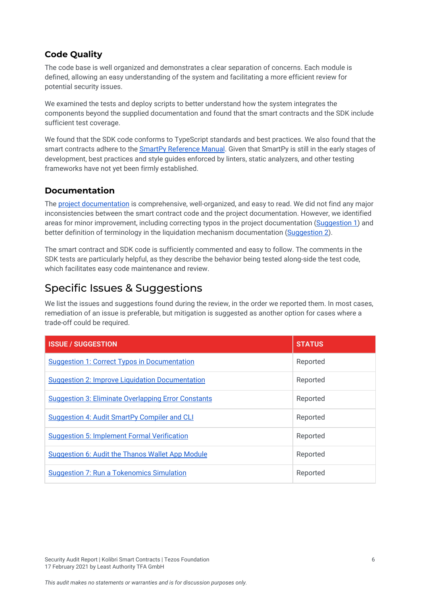### <span id="page-6-0"></span>**Code Quality**

The code base is well organized and demonstrates a clear separation of concerns. Each module is defined, allowing an easy understanding of the system and facilitating a more efficient review for potential security issues.

We examined the tests and deploy scripts to better understand how the system integrates the components beyond the supplied documentation and found that the smart contracts and the SDK include sufficient test coverage.

We found that the SDK code conforms to TypeScript standards and best practices. We also found that the smart contracts adhere to the SmartPy [Reference](https://smartpy.io/help.html) Manual. Given that SmartPy is still in the early stages of development, best practices and style guides enforced by linters, static analyzers, and other testing frameworks have not yet been firmly established.

### <span id="page-6-1"></span>**Documentation**

The project [documentation](https://testnet.kolibri.finance/project-info/general/intro) is comprehensive, well-organized, and easy to read. We did not find any major inconsistencies between the smart contract code and the project documentation. However, we identified areas for minor improvement, including correcting typos in the project documentation [\(Suggestion](#page-7-1) 1) and better definition of terminology in the liquidation mechanism documentation ([Suggestion](#page-7-2) 2).

The smart contract and SDK code is sufficiently commented and easy to follow. The comments in the SDK tests are particularly helpful, as they describe the behavior being tested along-side the test code, which facilitates easy code maintenance and review.

# <span id="page-6-2"></span>Specific Issues & Suggestions

We list the issues and suggestions found during the review, in the order we reported them. In most cases, remediation of an issue is preferable, but mitigation is suggested as another option for cases where a trade-off could be required.

| <b>ISSUE / SUGGESTION</b>                                  | <b>STATUS</b> |
|------------------------------------------------------------|---------------|
| <b>Suggestion 1: Correct Typos in Documentation</b>        | Reported      |
| <b>Suggestion 2: Improve Liquidation Documentation</b>     | Reported      |
| <b>Suggestion 3: Eliminate Overlapping Error Constants</b> | Reported      |
| <b>Suggestion 4: Audit SmartPy Compiler and CLI</b>        | Reported      |
| <b>Suggestion 5: Implement Formal Verification</b>         | Reported      |
| <b>Suggestion 6: Audit the Thanos Wallet App Module</b>    | Reported      |
| <b>Suggestion 7: Run a Tokenomics Simulation</b>           | Reported      |

Security Audit Report | Kolibri Smart Contracts | Tezos Foundation 6 17 February 2021 by Least Authority TFA GmbH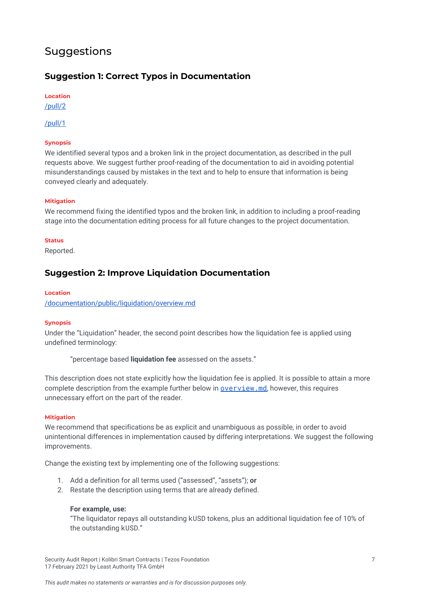# <span id="page-7-0"></span>Suggestions

### <span id="page-7-1"></span>**Suggestion 1: Correct Typos in Documentation**

**Location**

[/pull/2](https://github.com/LeastAuthority/kolibri/pull/2)

[/pull/1](https://github.com/LeastAuthority/kolibri/pull/1)

#### **Synopsis**

We identified several typos and a broken link in the project documentation, as described in the pull requests above. We suggest further proof-reading of the documentation to aid in avoiding potential misunderstandings caused by mistakes in the text and to help to ensure that information is being conveyed clearly and adequately.

#### **Mitigation**

We recommend fixing the identified typos and the broken link, in addition to including a proof-reading stage into the documentation editing process for all future changes to the project documentation.

#### **Status**

Reported.

#### <span id="page-7-2"></span>**Suggestion 2: Improve Liquidation Documentation**

#### **Location**

[/documentation/public/liquidation/overview.md](https://github.com/LeastAuthority/kolibri/blob/master/documentation/public/liquidation/overview.md)

#### **Synopsis**

Under the "Liquidation" header, the second point describes how the liquidation fee is applied using undefined terminology:

"percentage based **liquidation fee** assessed on the assets."

This description does not state explicitly how the liquidation fee is applied. It is possible to attain a more complete description from the example further below in **[overview.md](https://github.com/LeastAuthority/kolibri/blob/master/documentation/public/liquidation/overview.md)**, however, this requires unnecessary effort on the part of the reader.

#### **Mitigation**

We recommend that specifications be as explicit and unambiguous as possible, in order to avoid unintentional differences in implementation caused by differing interpretations. We suggest the following improvements.

Change the existing text by implementing one of the following suggestions:

- 1. Add a definition for all terms used ("assessed", "assets"); **or**
- 2. Restate the description using terms that are already defined.

#### **For example, use:**

"The liquidator repays all outstanding kUSD tokens, plus an additional liquidation fee of 10% of the outstanding kUSD."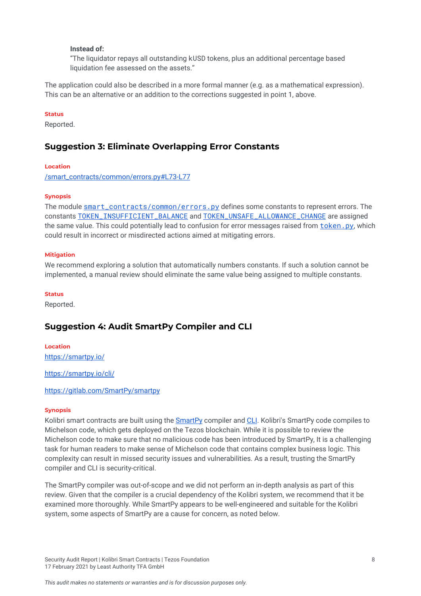#### **Instead of:**

"The liquidator repays all outstanding kUSD tokens, plus an additional percentage based liquidation fee assessed on the assets."

The application could also be described in a more formal manner (e.g. as a mathematical expression). This can be an alternative or an addition to the corrections suggested in point 1, above.

#### **Status**

Reported.

#### <span id="page-8-0"></span>**Suggestion 3: Eliminate Overlapping Error Constants**

#### **Location**

[/smart\\_contracts/common/errors.py#L73-L77](https://github.com/LeastAuthority/kolibri/blob/master/smart_contracts/common/errors.py#L73-L77)

#### **Synopsis**

The module [smart\\_contracts/common/errors.py](https://github.com/LeastAuthority/kolibri/blob/master/smart_contracts/common/errors.py) defines some constants to represent errors. The constants [TOKEN\\_INSUFFICIENT\\_BALANCE](https://github.com/LeastAuthority/kolibri/blob/master/smart_contracts/common/errors.py#L73-L74) and [TOKEN\\_UNSAFE\\_ALLOWANCE\\_CHANGE](https://github.com/LeastAuthority/kolibri/blob/master/smart_contracts/common/errors.py#L76-L77) are assigned the same value. This could potentially lead to confusion for error messages raised from token, py, which could result in incorrect or misdirected actions aimed at mitigating errors.

#### **Mitigation**

We recommend exploring a solution that automatically numbers constants. If such a solution cannot be implemented, a manual review should eliminate the same value being assigned to multiple constants.

#### **Status**

Reported.

#### <span id="page-8-1"></span>**Suggestion 4: Audit SmartPy Compiler and CLI**

**Location** <https://smartpy.io/>

<https://smartpy.io/cli/>

#### <https://gitlab.com/SmartPy/smartpy>

#### **Synopsis**

Kolibri smart contracts are built using the **[SmartPy](https://smartpy.io/)** compiler and [CLI](https://smartpy.io/cli/). Kolibri's SmartPy code compiles to Michelson code, which gets deployed on the Tezos blockchain. While it is possible to review the Michelson code to make sure that no malicious code has been introduced by SmartPy, It is a challenging task for human readers to make sense of Michelson code that contains complex business logic. This complexity can result in missed security issues and vulnerabilities. As a result, trusting the SmartPy compiler and CLI is security-critical.

The SmartPy compiler was out-of-scope and we did not perform an in-depth analysis as part of this review. Given that the compiler is a crucial dependency of the Kolibri system, we recommend that it be examined more thoroughly. While SmartPy appears to be well-engineered and suitable for the Kolibri system, some aspects of SmartPy are a cause for concern, as noted below.

Security Audit Report | Kolibri Smart Contracts | Tezos Foundation 8 17 February 2021 by Least Authority TFA GmbH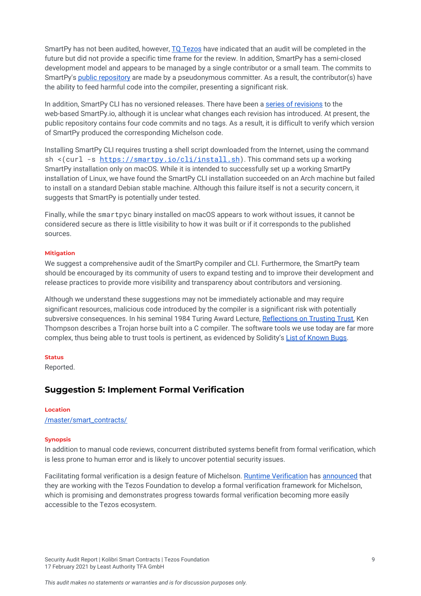SmartPy has not been audited, however, TQ [Tezos](https://tqtezos.com/) have indicated that an audit will be completed in the future but did not provide a specific time frame for the review. In addition, SmartPy has a semi-closed development model and appears to be managed by a single contributor or a small team. The commits to SmartPy's public [repository](https://gitlab.com/SmartPy/smartpy) are made by a pseudonymous committer. As a result, the contributor(s) have the ability to feed harmful code into the compiler, presenting a significant risk.

In addition, SmartPy CLI has no versioned releases. There have been a series of [revisions](https://smartpy.io/releases.html) to the web-based SmartPy.io, although it is unclear what changes each revision has introduced. At present, the public repository contains four code commits and no tags. As a result, it is difficult to verify which version of SmartPy produced the corresponding Michelson code.

Installing SmartPy CLI requires trusting a shell script downloaded from the Internet, using the command sh <(curl -s <https://smartpy.io/cli/install.sh>). This command sets up a working SmartPy installation only on macOS. While it is intended to successfully set up a working SmartPy installation of Linux, we have found the SmartPy CLI installation succeeded on an Arch machine but failed to install on a standard Debian stable machine. Although this failure itself is not a security concern, it suggests that SmartPy is potentially under tested.

Finally, while the smartpyc binary installed on macOS appears to work without issues, it cannot be considered secure as there is little visibility to how it was built or if it corresponds to the published sources.

#### **Mitigation**

We suggest a comprehensive audit of the SmartPy compiler and CLI. Furthermore, the SmartPy team should be encouraged by its community of users to expand testing and to improve their development and release practices to provide more visibility and transparency about contributors and versioning.

Although we understand these suggestions may not be immediately actionable and may require significant resources, malicious code introduced by the compiler is a significant risk with potentially subversive consequences. In his seminal 1984 Turing Award Lecture, [Reflections](https://dl.acm.org/doi/10.1145/358198.358210) on Trusting Trust, Ken Thompson describes a Trojan horse built into a C compiler. The software tools we use today are far more complex, thus being able to trust tools is pertinent, as evidenced by Solidity's List of [Known](https://docs.soliditylang.org/en/v0.5.14/bugs.html#known-bugs) Bugs.

#### **Status**

Reported.

#### <span id="page-9-0"></span>**Suggestion 5: Implement Formal Verification**

#### **Location** [/master/smart\\_contracts/](https://github.com/LeastAuthority/kolibri/blob/master/smart_contracts/)

#### **Synopsis**

In addition to manual code reviews, concurrent distributed systems benefit from formal verification, which is less prone to human error and is likely to uncover potential security issues.

Facilitating formal verification is a design feature of Michelson. Runtime [Verification](https://runtimeverification.com/) has [announced](https://runtimeverification.com/blog/formal-verification-framework-for-michelson/) that they are working with the Tezos Foundation to develop a formal verification framework for Michelson, which is promising and demonstrates progress towards formal verification becoming more easily accessible to the Tezos ecosystem.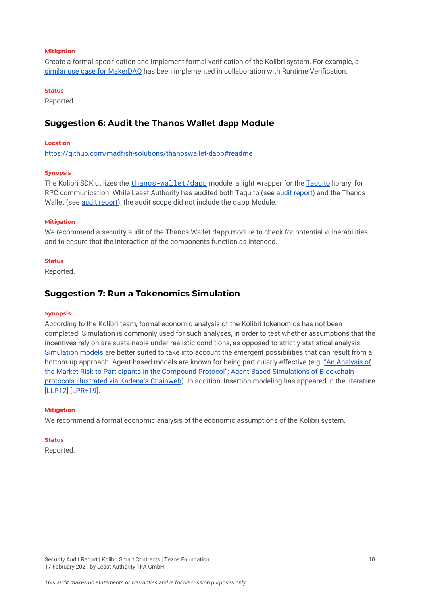#### **Mitigation**

Create a formal specification and implement formal verification of the Kolibri system. For example, [a](https://security.makerdao.com/audit-reports#runtime-verification-specification) similar use case for [MakerDAO](https://security.makerdao.com/audit-reports#runtime-verification-specification) has been implemented in collaboration with Runtime Verification.

#### **Status**

Reported.

#### <span id="page-10-0"></span>**Suggestion 6: Audit the Thanos Wallet dappModule**

#### **Location**

<https://github.com/madfish-solutions/thanoswallet-dapp#readme>

#### **Synopsis**

The Kolibri SDK utilizes the [thanos-wallet/dapp](https://github.com/madfish-solutions/thanoswallet-dapp#readme) module, a light wrapper for the [Taquito](https://tezostaquito.io/) library, for RPC communication. While Least Authority has audited both Taquito (see audit [report\)](https://leastauthority.com/static/publications/LeastAuthority_Tezos_Foundation_Taquito_Report.pdf) and the Thanos Wallet (see audit [report\)](https://leastauthority.com/static/publications/LeastAuthority_Tezos_Foundation_Thanos_Wallet_Audit_Report.pdf), the audit scope did not include the dapp Module.

#### **Mitigation**

We recommend a security audit of the Thanos Wallet dapp module to check for potential vulnerabilities and to ensure that the interaction of the components function as intended.

#### **Status**

Reported.

#### <span id="page-10-1"></span>**Suggestion 7: Run a Tokenomics Simulation**

#### **Synopsis**

According to the Kolibri team, formal economic analysis of the Kolibri tokenomics has not been completed. Simulation is commonly used for such analyses, in order to test whether assumptions that the incentives rely on are sustainable under realistic conditions, as opposed to strictly statistical analysis. [Simulation](https://thegraph.com/blog/modeling-cryptoeconomic-protocols-as-complex-systems-part-2) models are better suited to take into account the emergent possibilities that can result from a bottom-up approach. Agent-based models are known for being particularly effective (e.g. "An [Analysis](https://scfab.github.io/2020/FAB2020_p5.pdf) of the Market Risk to [Participants](https://scfab.github.io/2020/FAB2020_p5.pdf) in the Compound Protocol"; [Agent-Based](https://ieeexplore.ieee.org/abstract/document/8802494) Simulations of Blockchain protocols [illustrated](https://ieeexplore.ieee.org/abstract/document/8802494) via Kadena's Chainweb). In addition, Insertion modeling has appeared in the literature [\[LLP12\]](https://doi.org/10.1007/978-3-642-29709-0_23) [\[LPR+19\]](http://ceur-ws.org/Vol-2393/paper_409.pdf).

#### **Mitigation**

We recommend a formal economic analysis of the economic assumptions of the Kolibri system.

#### **Status**

Reported.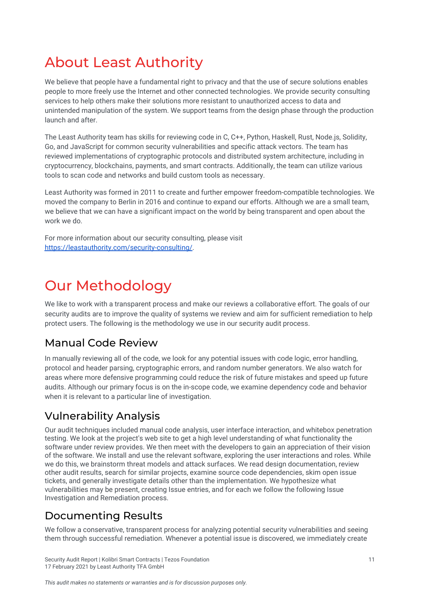# <span id="page-11-0"></span>About Least Authority

We believe that people have a fundamental right to privacy and that the use of secure solutions enables people to more freely use the Internet and other connected technologies. We provide security consulting services to help others make their solutions more resistant to unauthorized access to data and unintended manipulation of the system. We support teams from the design phase through the production launch and after.

The Least Authority team has skills for reviewing code in C, C++, Python, Haskell, Rust, Node.js, Solidity, Go, and JavaScript for common security vulnerabilities and specific attack vectors. The team has reviewed implementations of cryptographic protocols and distributed system architecture, including in cryptocurrency, blockchains, payments, and smart contracts. Additionally, the team can utilize various tools to scan code and networks and build custom tools as necessary.

Least Authority was formed in 2011 to create and further empower freedom-compatible technologies. We moved the company to Berlin in 2016 and continue to expand our efforts. Although we are a small team, we believe that we can have a significant impact on the world by being transparent and open about the work we do.

For more information about our security consulting, please visit <https://leastauthority.com/security-consulting/>.

# <span id="page-11-1"></span>Our Methodology

We like to work with a transparent process and make our reviews a collaborative effort. The goals of our security audits are to improve the quality of systems we review and aim for sufficient remediation to help protect users. The following is the methodology we use in our security audit process.

# Manual Code Review

In manually reviewing all of the code, we look for any potential issues with code logic, error handling, protocol and header parsing, cryptographic errors, and random number generators. We also watch for areas where more defensive programming could reduce the risk of future mistakes and speed up future audits. Although our primary focus is on the in-scope code, we examine dependency code and behavior when it is relevant to a particular line of investigation.

# Vulnerability Analysis

Our audit techniques included manual code analysis, user interface interaction, and whitebox penetration testing. We look at the project's web site to get a high level understanding of what functionality the software under review provides. We then meet with the developers to gain an appreciation of their vision of the software. We install and use the relevant software, exploring the user interactions and roles. While we do this, we brainstorm threat models and attack surfaces. We read design documentation, review other audit results, search for similar projects, examine source code dependencies, skim open issue tickets, and generally investigate details other than the implementation. We hypothesize what vulnerabilities may be present, creating Issue entries, and for each we follow the following Issue Investigation and Remediation process.

# Documenting Results

We follow a conservative, transparent process for analyzing potential security vulnerabilities and seeing them through successful remediation. Whenever a potential issue is discovered, we immediately create